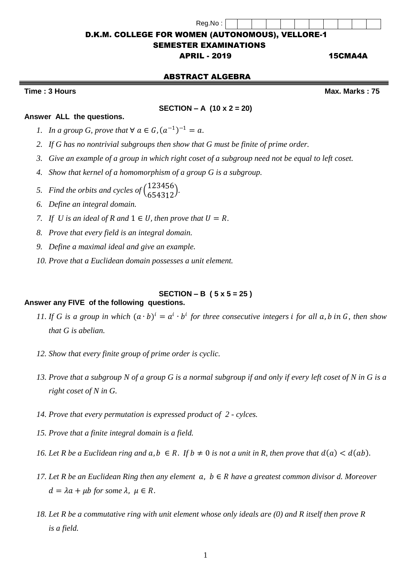# D.K.M. COLLEGE FOR WOMEN (AUTONOMOUS), VELLORE-1 SEMESTER EXAMINATIONS

Reg.No :

## APRIL - 2019 15CMA4A

## ABSTRACT ALGEBRA

**Time : 3 Hours Max. Marks : 75**

**Answer ALL the questions.** 

## **SECTION – A (10 x 2 = 20)**

- *1. In a group G, prove that*  $\forall a \in G$ ,  $(a^{-1})^{-1} = a$ .
- *2. If G has no nontrivial subgroups then show that G must be finite of prime order.*
- *3. Give an example of a group in which right coset of a subgroup need not be equal to left coset.*
- *4. Show that kernel of a homomorphism of a group G is a subgroup.*
- 5. Find the orbits and cycles of  $\binom{1}{6}$ 6 2 5 3 4 4 3 5 1 6  $\binom{0}{2}$ .
- *6. Define an integral domain.*
- *7. If U* is an ideal of R and  $1 \in U$ , then prove that  $U = R$ .
- *8. Prove that every field is an integral domain.*
- *9. Define a maximal ideal and give an example*.
- *10. Prove that a Euclidean domain possesses a unit element.*

## **SECTION – B ( 5 x 5 = 25 )**

### **Answer any FIVE of the following questions.**

- *11.* If G is a group in which  $(a \cdot b)^i = a^i \cdot b^i$  for three consecutive integers i for all  $a, b$  in  $G$ , then show *that G is abelian.*
- *12. Show that every finite group of prime order is cyclic.*
- *13. Prove that a subgroup N of a group G is a normal subgroup if and only if every left coset of N in G is a right coset of N in G.*
- *14. Prove that every permutation is expressed product of 2 - cylces.*
- *15. Prove that a finite integral domain is a field.*
- *16. Let R be a Euclidean ring and*  $a, b \in R$ *. If*  $b \neq 0$  *is not a unit in R, then prove that*  $d(a) < d(ab)$ *.*
- *17. Let R be an Euclidean Ring then any element*  $a, b \in R$  have a greatest common divisor d. Moreover  $d = \lambda a + \mu b$  for some  $\lambda, \mu \in R$ .
- *18. Let R be a commutative ring with unit element whose only ideals are (0) and R itself then prove R is a field.*